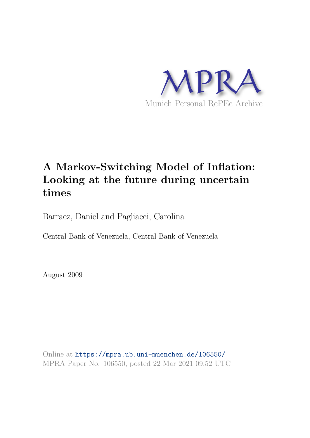

# **A Markov-Switching Model of Inflation: Looking at the future during uncertain times**

Barraez, Daniel and Pagliacci, Carolina

Central Bank of Venezuela, Central Bank of Venezuela

August 2009

Online at https://mpra.ub.uni-muenchen.de/106550/ MPRA Paper No. 106550, posted 22 Mar 2021 09:52 UTC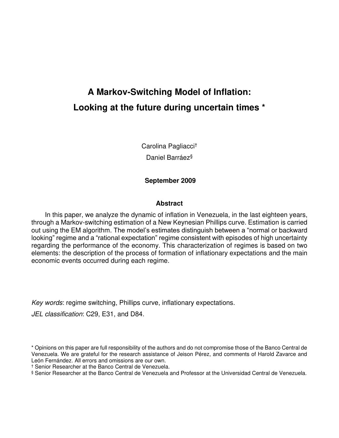# **A Markov-Switching Model of Inflation: Looking at the future during uncertain times \***

Carolina Pagliacci† Daniel Barráez§

# **September 2009**

#### **Abstract**

 In this paper, we analyze the dynamic of inflation in Venezuela, in the last eighteen years, through a Markov-switching estimation of a New Keynesian Phillips curve. Estimation is carried out using the EM algorithm. The model's estimates distinguish between a "normal or backward looking" regime and a "rational expectation" regime consistent with episodes of high uncertainty regarding the performance of the economy. This characterization of regimes is based on two elements: the description of the process of formation of inflationary expectations and the main economic events occurred during each regime.

Key words: regime switching, Phillips curve, inflationary expectations.

JEL classification: C29, E31, and D84.

<sup>\*</sup> Opinions on this paper are full responsibility of the authors and do not compromise those of the Banco Central de Venezuela. We are grateful for the research assistance of Jeison Pérez, and comments of Harold Zavarce and León Fernández. All errors and omissions are our own.

<sup>†</sup> Senior Researcher at the Banco Central de Venezuela.

<sup>§</sup> Senior Researcher at the Banco Central de Venezuela and Professor at the Universidad Central de Venezuela.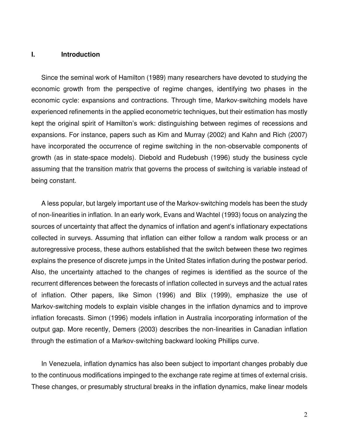#### **I. Introduction**

Since the seminal work of Hamilton (1989) many researchers have devoted to studying the economic growth from the perspective of regime changes, identifying two phases in the economic cycle: expansions and contractions. Through time, Markov-switching models have experienced refinements in the applied econometric techniques, but their estimation has mostly kept the original spirit of Hamilton's work: distinguishing between regimes of recessions and expansions. For instance, papers such as Kim and Murray (2002) and Kahn and Rich (2007) have incorporated the occurrence of regime switching in the non-observable components of growth (as in state-space models). Diebold and Rudebush (1996) study the business cycle assuming that the transition matrix that governs the process of switching is variable instead of being constant.

A less popular, but largely important use of the Markov-switching models has been the study of non-linearities in inflation. In an early work, Evans and Wachtel (1993) focus on analyzing the sources of uncertainty that affect the dynamics of inflation and agent's inflationary expectations collected in surveys. Assuming that inflation can either follow a random walk process or an autoregressive process, these authors established that the switch between these two regimes explains the presence of discrete jumps in the United States inflation during the postwar period. Also, the uncertainty attached to the changes of regimes is identified as the source of the recurrent differences between the forecasts of inflation collected in surveys and the actual rates of inflation. Other papers, like Simon (1996) and Blix (1999), emphasize the use of Markov-switching models to explain visible changes in the inflation dynamics and to improve inflation forecasts. Simon (1996) models inflation in Australia incorporating information of the output gap. More recently, Demers (2003) describes the non-linearities in Canadian inflation through the estimation of a Markov-switching backward looking Phillips curve.

In Venezuela, inflation dynamics has also been subject to important changes probably due to the continuous modifications impinged to the exchange rate regime at times of external crisis. These changes, or presumably structural breaks in the inflation dynamics, make linear models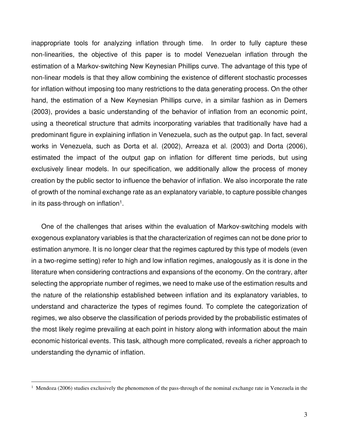inappropriate tools for analyzing inflation through time. In order to fully capture these non-linearities, the objective of this paper is to model Venezuelan inflation through the estimation of a Markov-switching New Keynesian Phillips curve. The advantage of this type of non-linear models is that they allow combining the existence of different stochastic processes for inflation without imposing too many restrictions to the data generating process. On the other hand, the estimation of a New Keynesian Phillips curve, in a similar fashion as in Demers (2003), provides a basic understanding of the behavior of inflation from an economic point, using a theoretical structure that admits incorporating variables that traditionally have had a predominant figure in explaining inflation in Venezuela, such as the output gap. In fact, several works in Venezuela, such as Dorta et al. (2002), Arreaza et al. (2003) and Dorta (2006), estimated the impact of the output gap on inflation for different time periods, but using exclusively linear models. In our specification, we additionally allow the process of money creation by the public sector to influence the behavior of inflation. We also incorporate the rate of growth of the nominal exchange rate as an explanatory variable, to capture possible changes in its pass-through on inflation<sup>1</sup>.

One of the challenges that arises within the evaluation of Markov-switching models with exogenous explanatory variables is that the characterization of regimes can not be done prior to estimation anymore. It is no longer clear that the regimes captured by this type of models (even in a two-regime setting) refer to high and low inflation regimes, analogously as it is done in the literature when considering contractions and expansions of the economy. On the contrary, after selecting the appropriate number of regimes, we need to make use of the estimation results and the nature of the relationship established between inflation and its explanatory variables, to understand and characterize the types of regimes found. To complete the categorization of regimes, we also observe the classification of periods provided by the probabilistic estimates of the most likely regime prevailing at each point in history along with information about the main economic historical events. This task, although more complicated, reveals a richer approach to understanding the dynamic of inflation.

<sup>&</sup>lt;sup>1</sup> Mendoza (2006) studies exclusively the phenomenon of the pass-through of the nominal exchange rate in Venezuela in the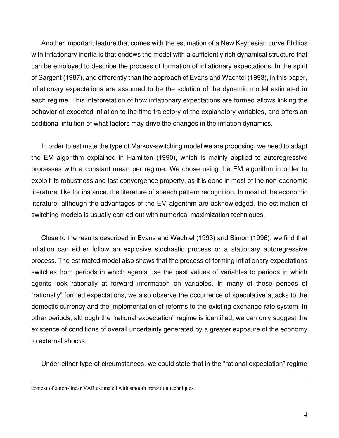Another important feature that comes with the estimation of a New Keynesian curve Phillips with inflationary inertia is that endows the model with a sufficiently rich dynamical structure that can be employed to describe the process of formation of inflationary expectations. In the spirit of Sargent (1987), and differently than the approach of Evans and Wachtel (1993), in this paper, inflationary expectations are assumed to be the solution of the dynamic model estimated in each regime. This interpretation of how inflationary expectations are formed allows linking the behavior of expected inflation to the time trajectory of the explanatory variables, and offers an additional intuition of what factors may drive the changes in the inflation dynamics.

In order to estimate the type of Markov-switching model we are proposing, we need to adapt the EM algorithm explained in Hamilton (1990), which is mainly applied to autoregressive processes with a constant mean per regime. We chose using the EM algorithm in order to exploit its robustness and fast convergence property, as it is done in most of the non-economic literature, like for instance, the literature of speech pattern recognition. In most of the economic literature, although the advantages of the EM algorithm are acknowledged, the estimation of switching models is usually carried out with numerical maximization techniques.

Close to the results described in Evans and Wachtel (1993) and Simon (1996), we find that inflation can either follow an explosive stochastic process or a stationary autoregressive process. The estimated model also shows that the process of forming inflationary expectations switches from periods in which agents use the past values of variables to periods in which agents look rationally at forward information on variables. In many of these periods of "rationally" formed expectations, we also observe the occurrence of speculative attacks to the domestic currency and the implementation of reforms to the existing exchange rate system. In other periods, although the "rational expectation" regime is identified, we can only suggest the existence of conditions of overall uncertainty generated by a greater exposure of the economy to external shocks.

Under either type of circumstances, we could state that in the "rational expectation" regime

context of a non-linear VAR estimated with smooth transition techniques.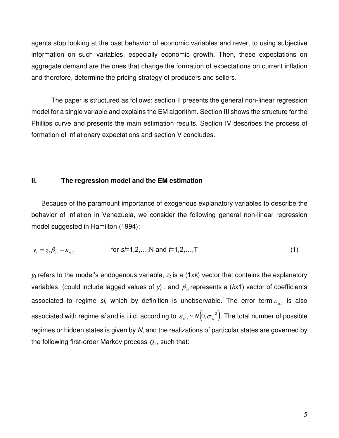agents stop looking at the past behavior of economic variables and revert to using subjective information on such variables, especially economic growth. Then, these expectations on aggregate demand are the ones that change the formation of expectations on current inflation and therefore, determine the pricing strategy of producers and sellers.

 The paper is structured as follows: section II presents the general non-linear regression model for a single variable and explains the EM algorithm. Section III shows the structure for the Phillips curve and presents the main estimation results. Section IV describes the process of formation of inflationary expectations and section V concludes.

# **II. The regression model and the EM estimation**

Because of the paramount importance of exogenous explanatory variables to describe the behavior of inflation in Venezuela, we consider the following general non-linear regression model suggested in Hamilton (1994):

$$
y_t = z_t \beta_{si} + \varepsilon_{si,t}
$$
 for  $s=1,2,...,N$  and  $t=1,2,...,T$  (1)

 $y_t$  refers to the model's endogenous variable,  $z_t$  is a (1xk) vector that contains the explanatory variables (could include lagged values of  $y$ ), and  $\beta_{si}$  represents a ( $kx1$ ) vector of coefficients associated to regime si, which by definition is unobservable. The error term  $\varepsilon_{s_{i,t}}$  is also associated with regime *si* and is i.i.d. according to  $\, \varepsilon_{\scriptscriptstyle{si, t}} \! \sim \! N\! \big( \! 0, \sigma_{\scriptscriptstyle{si}}^{\;\; 2} \big).$  The total number of possible regimes or hidden states is given by  $N$ , and the realizations of particular states are governed by the following first-order Markov process  $\mathcal{Q}_t$ , such that: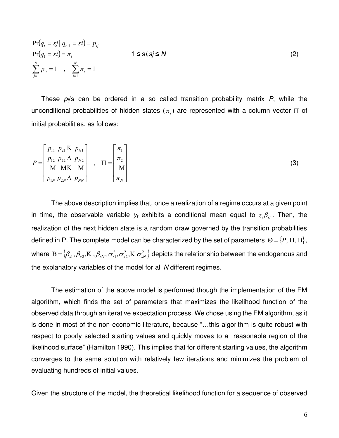$$
\Pr(q_{i} = sj | q_{i-1} = si) = p_{ij} \n\Pr(q_{1} = si) = \pi_{i} \n\sum_{j=1}^{N} p_{ij} = 1 , \sum_{i=1}^{N} \pi_{i} = 1
$$
\n(2)

These  $p_{ij}$ 's can be ordered in a so called transition probability matrix P, while the unconditional probabilities of hidden states  $(\pi_i)$  are represented with a column vector  $\Pi$  of initial probabilities, as follows:

$$
P = \begin{bmatrix} p_{11} & p_{21} & K & p_{N1} \\ p_{12} & p_{22} & \Lambda & p_{N2} \\ M & M & K & M \\ p_{1N} & p_{2N} & \Lambda & p_{NN} \end{bmatrix} , \quad \Pi = \begin{bmatrix} \pi_1 \\ \pi_2 \\ M \\ \pi_N \end{bmatrix}
$$
 (3)

 The above description implies that, once a realization of a regime occurs at a given point in time, the observable variable  $y_t$  exhibits a conditional mean equal to  $z_t \beta_{si}$ . Then, the realization of the next hidden state is a random draw governed by the transition probabilities defined in P. The complete model can be characterized by the set of parameters  $\Theta = \{P, \Pi, B\},\$ where  $B = \{ \beta_{s1}, \beta_{s2}, K, \beta_{sN}, \sigma_{s1}^2, \sigma_{s2}^2, K \sigma_{sN}^2 \}$ 2  ${\rm B}=\{\beta_{s1},\beta_{s2},{\rm K\,}$  ,  $\beta_{sN},\,\sigma_{s1}^2,\sigma_{s2}^2,{\rm K\,}\,\sigma_{sN}^2\}$  depicts the relationship between the endogenous and the explanatory variables of the model for all N different regimes.

 The estimation of the above model is performed though the implementation of the EM algorithm, which finds the set of parameters that maximizes the likelihood function of the observed data through an iterative expectation process. We chose using the EM algorithm, as it is done in most of the non-economic literature, because "…this algorithm is quite robust with respect to poorly selected starting values and quickly moves to a reasonable region of the likelihood surface" (Hamilton 1990). This implies that for different starting values, the algorithm converges to the same solution with relatively few iterations and minimizes the problem of evaluating hundreds of initial values.

Given the structure of the model, the theoretical likelihood function for a sequence of observed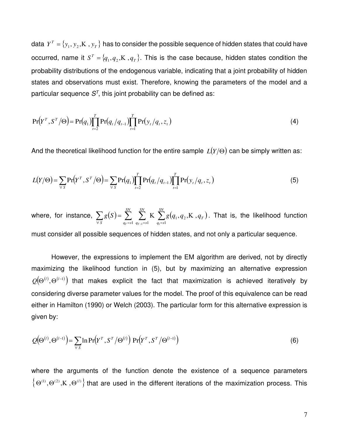data  $\overline{Y}^{\tau} = \{y_1, y_2,$ K $\,$  ,  $y_T\}$  has to consider the possible sequence of hidden states that could have occurred, name it  $S^T = \{q_1, q_2, K, q_T\}$ . This is the case because, hidden states condition the probability distributions of the endogenous variable, indicating that a joint probability of hidden states and observations must exist. Therefore, knowing the parameters of the model and a particular sequence  $S<sup>T</sup>$ , this joint probability can be defined as:

$$
Pr(Y^T, S^T / \Theta) = Pr(q_1) \prod_{t=2}^T Pr(q_t / q_{t-1}) \prod_{t=1}^T Pr(y_t / q_t, z_t)
$$
\n(4)

And the theoretical likelihood function for the entire sample  $L(Y/\Theta)$  can be simply written as:

$$
L(Y/\Theta) = \sum_{\forall s} \Pr(Y^{\top}, S^{\top}/\Theta) = \sum_{\forall s} \Pr(q_1) \prod_{t=2}^{T} \Pr(q_t/q_{t-1}) \prod_{t=1}^{T} \Pr(y_t/q_t, z_t)
$$
(5)

where, for instance,  $\sum g(S) = \sum_{n=1}^{\infty} \sum_{n=1}^{\infty} K \sum_{n=1}^{\infty} g(q_1, q_2, K, q_T)$  $\forall S$   $q_T = s1 \ q_{T-1} = s1 \ q_1 =$  $=$   $\sum_{i=1}^{SN}$   $\sum_{i=1}^{SN}$  **K**  $\sum_{i=1}^{SN}$  $q_1 = s$ *T SN*  $q_{T-1} = s$ *SN S*  $q_T = s$  $g(S) = \sum_{i} \sum_{j} K_{i} \sum_{j} g(q_{i}, q_{i}, K_{j}, q_{i})$  $T^{-31}$  *4T* 1  $_1, q_2$ 1  $q_{T-1} = s1$   $q_1$ K  $\sum g(q_1, q_2, K, q_T)$ . That is, the likelihood function must consider all possible sequences of hidden states, and not only a particular sequence.

 However, the expressions to implement the EM algorithm are derived, not by directly maximizing the likelihood function in (5), but by maximizing an alternative expression  $\mathit{Q}(\Theta^{(l)},\Theta^{(l-1)})$  that makes explicit the fact that maximization is achieved iteratively by considering diverse parameter values for the model. The proof of this equivalence can be read either in Hamilton (1990) or Welch (2003). The particular form for this alternative expression is given by:

$$
Q(\Theta^{(l)}, \Theta^{(l-1)}) = \sum_{\forall s} \ln \Pr(Y^{\mathsf{T}}, S^{\mathsf{T}}/\Theta^{(l)}) \Pr(Y^{\mathsf{T}}, S^{\mathsf{T}}/\Theta^{(l-1)})
$$
(6)

where the arguments of the function denote the existence of a sequence parameters  $\{\Theta^{(1)}, \Theta^{(2)}, K, \Theta^{(l)}\}$  that are used in the different iterations of the maximization process. This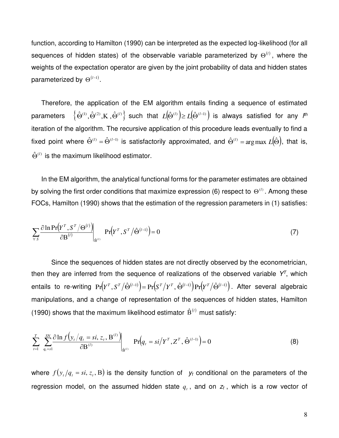function, according to Hamilton (1990) can be interpreted as the expected log-likelihood (for all sequences of hidden states) of the observable variable parameterized by  $\Theta^{(l)}$ , where the weights of the expectation operator are given by the joint probability of data and hidden states parameterized by  $\Theta^{(l-1)}$ .

Therefore, the application of the EM algorithm entails finding a sequence of estimated parameters  $\left\{\hat{\Theta}^{(1)},\hat{\Theta}^{(2)},$ K $\,,\hat{\Theta}^{(l)}\right\}$  such that  $L(\hat{\Theta}^{(l)})$   $\geq L(\hat{\Theta}^{(l-1)})$  is always satisfied for any  $l^{th}$ iteration of the algorithm. The recursive application of this procedure leads eventually to find a fixed point where  $\hat{\Theta}^{(l)} = \hat{\Theta}^{(l-1)}$  is satisfactorily approximated, and  $\hat{\Theta}^{(l)} = \argmax L(\hat{\Theta})$ , that is,  $\hat{\Theta}^{(l)}$  is the maximum likelihood estimator.

In the EM algorithm, the analytical functional forms for the parameter estimates are obtained by solving the first order conditions that maximize expression (6) respect to  $\Theta^{(l)}$ . Among these FOCs, Hamilton (1990) shows that the estimation of the regression parameters in (1) satisfies:

$$
\sum_{\forall s} \frac{\partial \ln \Pr(Y^{\tau}, S^{\tau}/\Theta^{(l)})}{\partial B^{(l)}} \bigg|_{\hat{B}^{(l)}} \Pr(Y^{\tau}, S^{\tau}/\hat{\Theta}^{(l-1)}) = 0 \tag{7}
$$

 Since the sequences of hidden states are not directly observed by the econometrician, then they are inferred from the sequence of realizations of the observed variable  $Y<sup>T</sup>$ , which entails to re-writing  $\Pr(Y^{\tau}, S^{\tau}/\hat{\Theta}^{(l-1)}) = \Pr(S^{\tau}/Y^{\tau}, \hat{\Theta}^{(l-1)}) \Pr(Y^{\tau}/\hat{\Theta}^{(l-1)})$ . After several algebraic manipulations, and a change of representation of the sequences of hidden states, Hamilton (1990) shows that the maximum likelihood estimator  $\hat{B}^{(l)}$  must satisfy:

$$
\sum_{t=1}^{T} \sum_{q_t=1}^{SN} \frac{\partial \ln f(y_t/q_t = si, z_t, \mathbf{B}^{(l)})}{\partial \mathbf{B}^{(l)}} \prod_{\hat{\mathbf{B}}^{(l)}} \Pr(q_t = si/\mathbf{Y}^T, \mathbf{Z}^T, \hat{\mathbf{\Theta}}^{(l-1)}) = 0
$$
\n(8)

where  $f(y_t/q_t = \textit{si}, z_t, B)$  is the density function of  $y_t$  conditional on the parameters of the regression model, on the assumed hidden state  $q_t$ , and on  $z_t$ , which is a row vector of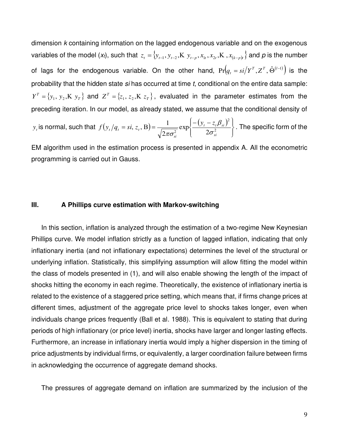dimension k containing information on the lagged endogenous variable and on the exogenous variables of the model (x<sub>t</sub>), such that  $z_t = {y_{t-1}, y_{t-2}, K| y_{t-p}, x_{lt}, x_{2t}, K|, x_{(k-p)t}}$  and  $p$  is the number of lags for the endogenous variable. On the other hand,  $\Pr\left(q_{_t}=si/Y^{_T},Z^{_T},\hat{\Theta}^{(l-1)}\right)$  is the probability that the hidden state si has occurred at time t, conditional on the entire data sample:  $Y^T = \{y_1, y_2, K, y_T\}$  and  $Z^T = \{z_1, z_2, K, z_T\}$ , evaluated in the parameter estimates from the preceding iteration. In our model, as already stated, we assume that the conditional density of

*y*<sub>t</sub> is normal, such that  $f(y_t/q_t = si, z_t, B) = \frac{1}{\sqrt{1 - x^2}} exp\left\{ \frac{-(y_t - z_t \beta_{si})^2}{2\sqrt{1 - y^2}} \right\}$  $\int$  $\overline{\phantom{a}}$  $\left\{ \right\}$  $\mathbf{I}$  $\overline{\mathcal{L}}$  $\overline{\phantom{a}}$ ┧  $- (y = si, z_t, B) = \frac{1}{\sqrt{2^{2}+2}} exp\left\{-\frac{(y_t - z_t)^2}{2\sigma^2}\right\}$ 2  $\begin{array}{c|c} 2 & 1 \\ 2 & 2 \end{array}$ exp 2  $(z_t, B) = \frac{1}{\sqrt{1 - \frac{1}{2}}}$ *si*  $t \sim_t P_{si}$ *si*  $t / 4t$ <sup>-3*t*</sup>,  $\omega_t$  $f(y_t/q_t = si, z_t, B) = \frac{1}{\sqrt{2\pi\sigma^2}} \exp\left{\frac{-(y_t - z_t)}{2\sigma^2}\right}$  $\beta$  $\pi\sigma$ . The specific form of the

EM algorithm used in the estimation process is presented in appendix A. All the econometric programming is carried out in Gauss.

#### **III. A Phillips curve estimation with Markov-switching**

In this section, inflation is analyzed through the estimation of a two-regime New Keynesian Phillips curve. We model inflation strictly as a function of lagged inflation, indicating that only inflationary inertia (and not inflationary expectations) determines the level of the structural or underlying inflation. Statistically, this simplifying assumption will allow fitting the model within the class of models presented in (1), and will also enable showing the length of the impact of shocks hitting the economy in each regime. Theoretically, the existence of inflationary inertia is related to the existence of a staggered price setting, which means that, if firms change prices at different times, adjustment of the aggregate price level to shocks takes longer, even when individuals change prices frequently (Ball et al. 1988). This is equivalent to stating that during periods of high inflationary (or price level) inertia, shocks have larger and longer lasting effects. Furthermore, an increase in inflationary inertia would imply a higher dispersion in the timing of price adjustments by individual firms, or equivalently, a larger coordination failure between firms in acknowledging the occurrence of aggregate demand shocks.

The pressures of aggregate demand on inflation are summarized by the inclusion of the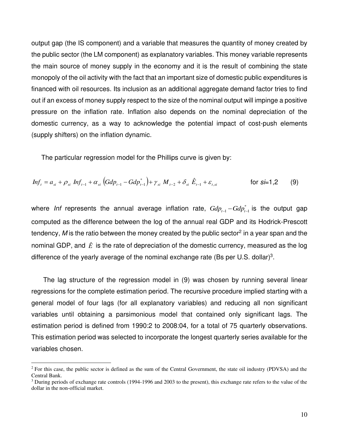output gap (the IS component) and a variable that measures the quantity of money created by the public sector (the LM component) as explanatory variables. This money variable represents the main source of money supply in the economy and it is the result of combining the state monopoly of the oil activity with the fact that an important size of domestic public expenditures is financed with oil resources. Its inclusion as an additional aggregate demand factor tries to find out if an excess of money supply respect to the size of the nominal output will impinge a positive pressure on the inflation rate. Inflation also depends on the nominal depreciation of the domestic currency, as a way to acknowledge the potential impact of cost-push elements (supply shifters) on the inflation dynamic.

The particular regression model for the Phillips curve is given by:

$$
Inf_{t} = a_{si} + \rho_{si} Inf_{t-1} + \alpha_{si} \left( Gdp_{t-1} - Gdp_{t-1}^{*} \right) + \gamma_{si} M_{t-2} + \delta_{si} \hat{E}_{t-1} + \varepsilon_{t,si} \qquad \text{for si=1,2} \qquad (9)
$$

where *Inf* represents the annual average inflation rate,  $Gdp_{_{t-1}} - Gdp_{_{t-1}}^*$  is the output gap computed as the difference between the log of the annual real GDP and its Hodrick-Prescott tendency, M is the ratio between the money created by the public sector<sup>2</sup> in a year span and the nominal GDP, and  $\hat{E}$  is the rate of depreciation of the domestic currency, measured as the log difference of the yearly average of the nominal exchange rate (Bs per U.S. dollar)<sup>3</sup>.

The lag structure of the regression model in (9) was chosen by running several linear regressions for the complete estimation period. The recursive procedure implied starting with a general model of four lags (for all explanatory variables) and reducing all non significant variables until obtaining a parsimonious model that contained only significant lags. The estimation period is defined from 1990:2 to 2008:04, for a total of 75 quarterly observations. This estimation period was selected to incorporate the longest quarterly series available for the variables chosen.

 $2^2$  For this case, the public sector is defined as the sum of the Central Government, the state oil industry (PDVSA) and the Central Bank.

<sup>&</sup>lt;sup>3</sup> During periods of exchange rate controls (1994-1996 and 2003 to the present), this exchange rate refers to the value of the dollar in the non-official market.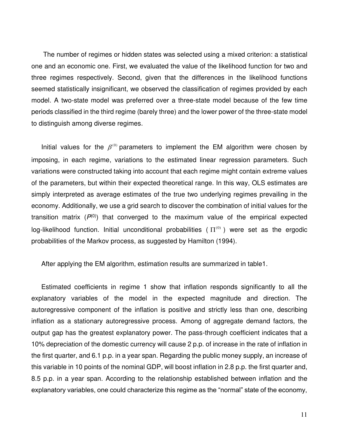The number of regimes or hidden states was selected using a mixed criterion: a statistical one and an economic one. First, we evaluated the value of the likelihood function for two and three regimes respectively. Second, given that the differences in the likelihood functions seemed statistically insignificant, we observed the classification of regimes provided by each model. A two-state model was preferred over a three-state model because of the few time periods classified in the third regime (barely three) and the lower power of the three-state model to distinguish among diverse regimes.

Initial values for the  $\beta^{(0)}$  parameters to implement the EM algorithm were chosen by imposing, in each regime, variations to the estimated linear regression parameters. Such variations were constructed taking into account that each regime might contain extreme values of the parameters, but within their expected theoretical range. In this way, OLS estimates are simply interpreted as average estimates of the true two underlying regimes prevailing in the economy. Additionally, we use a grid search to discover the combination of initial values for the transition matrix  $(P^{(0)})$  that converged to the maximum value of the empirical expected log-likelihood function. Initial unconditional probabilities ( $\Pi^{(0)}$ ) were set as the ergodic probabilities of the Markov process, as suggested by Hamilton (1994).

After applying the EM algorithm, estimation results are summarized in table1.

Estimated coefficients in regime 1 show that inflation responds significantly to all the explanatory variables of the model in the expected magnitude and direction. The autoregressive component of the inflation is positive and strictly less than one, describing inflation as a stationary autoregressive process. Among of aggregate demand factors, the output gap has the greatest explanatory power. The pass-through coefficient indicates that a 10% depreciation of the domestic currency will cause 2 p.p. of increase in the rate of inflation in the first quarter, and 6.1 p.p. in a year span. Regarding the public money supply, an increase of this variable in 10 points of the nominal GDP, will boost inflation in 2.8 p.p. the first quarter and, 8.5 p.p. in a year span. According to the relationship established between inflation and the explanatory variables, one could characterize this regime as the "normal" state of the economy,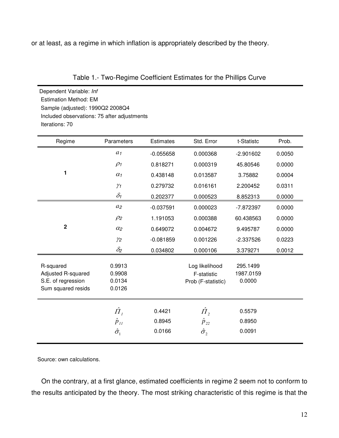or at least, as a regime in which inflation is appropriately described by the theory.

Table 1.- Two-Regime Coefficient Estimates for the Phillips Curve

Dependent Variable: Inf Estimation Method: EM Sample (adjusted): 1990Q2 2008Q4 Included observations: 75 after adjustments Iterations: 70

| Regime                                                                      | Parameters                                        | <b>Estimates</b>           | Std. Error                                          | t-Statistc                      | Prob.  |
|-----------------------------------------------------------------------------|---------------------------------------------------|----------------------------|-----------------------------------------------------|---------------------------------|--------|
|                                                                             | $a_1$                                             | $-0.055658$                | 0.000368                                            | $-2.901602$                     | 0.0050 |
|                                                                             | $\rho_1$                                          | 0.818271                   | 0.000319                                            | 45.80546                        | 0.0000 |
| 1                                                                           | $\alpha_1$                                        | 0.438148                   | 0.013587                                            | 3.75882                         | 0.0004 |
|                                                                             | $\gamma_1$                                        | 0.279732                   | 0.016161                                            | 2.200452                        | 0.0311 |
|                                                                             | $\delta_1$                                        | 0.202377                   | 0.000523                                            | 8.852313                        | 0.0000 |
|                                                                             | $a_2$                                             | $-0.037591$                | 0.000023                                            | $-7.872397$                     | 0.0000 |
|                                                                             | $\rho_2$                                          | 1.191053                   | 0.000388                                            | 60.438563                       | 0.0000 |
| $\mathbf 2$                                                                 | $\alpha_2$                                        | 0.649072                   | 0.004672                                            | 9.495787                        | 0.0000 |
|                                                                             | $\gamma_2$                                        | $-0.081859$                | 0.001226                                            | $-2.337526$                     | 0.0223 |
|                                                                             | $\delta_2$                                        | 0.034802                   | 0.000106                                            | 3.379271                        | 0.0012 |
| R-squared<br>Adjusted R-squared<br>S.E. of regression<br>Sum squared resids | 0.9913<br>0.9908<br>0.0134<br>0.0126              |                            | Log likelihood<br>F-statistic<br>Prob (F-statistic) | 295.1499<br>1987.0159<br>0.0000 |        |
|                                                                             | $\hat{H}_I$<br>$\hat{p}_{11}$<br>$\hat{\sigma}_1$ | 0.4421<br>0.8945<br>0.0166 | $\hat{\Pi}_2$<br>$\hat{p}_{22}$<br>$\hat{\sigma_2}$ | 0.5579<br>0.8950<br>0.0091      |        |

Source: own calculations.

On the contrary, at a first glance, estimated coefficients in regime 2 seem not to conform to the results anticipated by the theory. The most striking characteristic of this regime is that the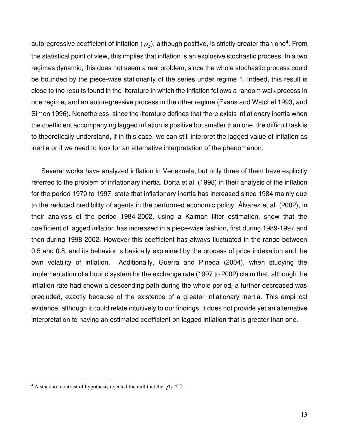autoregressive coefficient of inflation (  $\rho_{\scriptscriptstyle 2}$  ), although positive, is strictly greater than one<sup>4</sup>. From the statistical point of view, this implies that inflation is an explosive stochastic process. In a two regimes dynamic, this does not seem a real problem, since the whole stochastic process could be bounded by the piece-wise stationarity of the series under regime 1. Indeed, this result is close to the results found in the literature in which the inflation follows a random walk process in one regime, and an autoregressive process in the other regime (Evans and Watchel 1993, and Simon 1996). Nonetheless, since the literature defines that there exists inflationary inertia when the coefficient accompanying lagged inflation is positive but smaller than one, the difficult task is to theoretically understand, if in this case, we can still interpret the lagged value of inflation as inertia or if we need to look for an alternative interpretation of the phenomenon.

Several works have analyzed inflation in Venezuela, but only three of them have explicitly referred to the problem of inflationary inertia. Dorta et al. (1998) in their analysis of the inflation for the period 1970 to 1997, state that inflationary inertia has increased since 1984 mainly due to the reduced credibility of agents in the performed economic policy. Álvarez et al. (2002), in their analysis of the period 1984-2002, using a Kalman filter estimation, show that the coefficient of lagged inflation has increased in a piece-wise fashion, first during 1989-1997 and then during 1998-2002. However this coefficient has always fluctuated in the range between 0.5 and 0.8, and its behavior is basically explained by the process of price indexation and the own volatility of inflation. Additionally, Guerra and Pineda (2004), when studying the implementation of a bound system for the exchange rate (1997 to 2002) claim that, although the inflation rate had shown a descending path during the whole period, a further decreased was precluded, exactly because of the existence of a greater inflationary inertia. This empirical evidence, although it could relate intuitively to our findings, it does not provide yet an alternative interpretation to having an estimated coefficient on lagged inflation that is greater than one.

<sup>&</sup>lt;sup>4</sup> A standard contrast of hypothesis rejected the null that the  $\rho_2 \leq 1$ .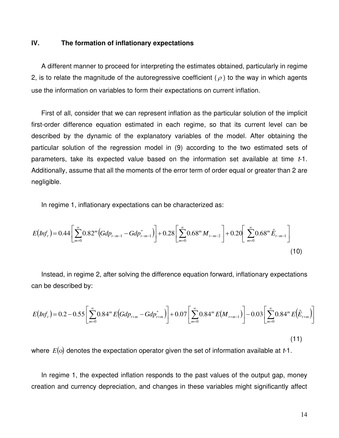#### **IV. The formation of inflationary expectations**

A different manner to proceed for interpreting the estimates obtained, particularly in regime 2, is to relate the magnitude of the autoregressive coefficient ( $\rho$ ) to the way in which agents use the information on variables to form their expectations on current inflation.

First of all, consider that we can represent inflation as the particular solution of the implicit first-order difference equation estimated in each regime, so that its current level can be described by the dynamic of the explanatory variables of the model. After obtaining the particular solution of the regression model in (9) according to the two estimated sets of parameters, take its expected value based on the information set available at time  $t-1$ . Additionally, assume that all the moments of the error term of order equal or greater than 2 are negligible.

In regime 1, inflationary expectations can be characterized as:

$$
E\left(Inf_{t}\right) = 0.44 \left[ \sum_{m=0}^{\infty} 0.82^{m} \left( Gdp_{t-m-1} - Gdp_{t-m-1}^{*} \right) \right] + 0.28 \left[ \sum_{m=0}^{\infty} 0.68^{m} M_{t-m-2} \right] + 0.20 \left[ \sum_{m=0}^{\infty} 0.68^{m} \hat{E}_{t-m-1} \right]
$$
\n(10)

Instead, in regime 2, after solving the difference equation forward, inflationary expectations can be described by:

$$
E\left(Inf_{t}\right) = 0.2 - 0.55\left[\sum_{m=0}^{\infty} 0.84^{m} E\left( Gdp_{t+m} - Gdp_{t+m}^{*} \right)\right] + 0.07\left[\sum_{m=0}^{\infty} 0.84^{m} E\left(M_{t+m-1}\right)\right] - 0.03\left[\sum_{m=0}^{\infty} 0.84^{m} E\left(\hat{E}_{t+m}\right)\right]
$$
\n(11)

where  $E(0)$  denotes the expectation operator given the set of information available at  $t-1$ .

In regime 1, the expected inflation responds to the past values of the output gap, money creation and currency depreciation, and changes in these variables might significantly affect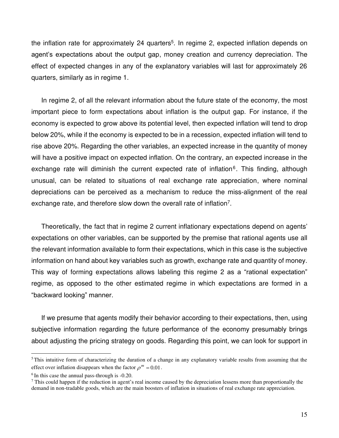the inflation rate for approximately 24 quarters<sup>5</sup>. In regime 2, expected inflation depends on agent's expectations about the output gap, money creation and currency depreciation. The effect of expected changes in any of the explanatory variables will last for approximately 26 quarters, similarly as in regime 1.

In regime 2, of all the relevant information about the future state of the economy, the most important piece to form expectations about inflation is the output gap. For instance, if the economy is expected to grow above its potential level, then expected inflation will tend to drop below 20%, while if the economy is expected to be in a recession, expected inflation will tend to rise above 20%. Regarding the other variables, an expected increase in the quantity of money will have a positive impact on expected inflation. On the contrary, an expected increase in the exchange rate will diminish the current expected rate of inflation<sup>6</sup>. This finding, although unusual, can be related to situations of real exchange rate appreciation, where nominal depreciations can be perceived as a mechanism to reduce the miss-alignment of the real exchange rate, and therefore slow down the overall rate of inflation<sup>7</sup>.

Theoretically, the fact that in regime 2 current inflationary expectations depend on agents' expectations on other variables, can be supported by the premise that rational agents use all the relevant information available to form their expectations, which in this case is the subjective information on hand about key variables such as growth, exchange rate and quantity of money. This way of forming expectations allows labeling this regime 2 as a "rational expectation" regime, as opposed to the other estimated regime in which expectations are formed in a "backward looking" manner.

If we presume that agents modify their behavior according to their expectations, then, using subjective information regarding the future performance of the economy presumably brings about adjusting the pricing strategy on goods. Regarding this point, we can look for support in

 $5$ This intuitive form of characterizing the duration of a change in any explanatory variable results from assuming that the effect over inflation disappears when the factor  $\rho^m = 0.01$ .

 $6$ In this case the annual pass-through is  $-0.20$ .

 $7$  This could happen if the reduction in agent's real income caused by the depreciation lessens more than proportionally the demand in non-tradable goods, which are the main boosters of inflation in situations of real exchange rate appreciation.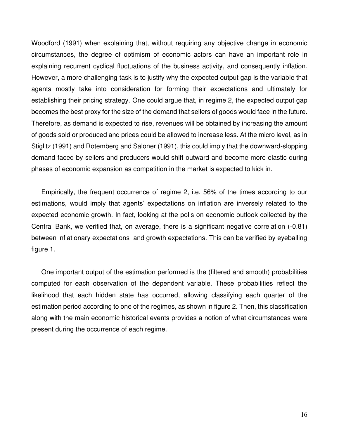Woodford (1991) when explaining that, without requiring any objective change in economic circumstances, the degree of optimism of economic actors can have an important role in explaining recurrent cyclical fluctuations of the business activity, and consequently inflation. However, a more challenging task is to justify why the expected output gap is the variable that agents mostly take into consideration for forming their expectations and ultimately for establishing their pricing strategy. One could argue that, in regime 2, the expected output gap becomes the best proxy for the size of the demand that sellers of goods would face in the future. Therefore, as demand is expected to rise, revenues will be obtained by increasing the amount of goods sold or produced and prices could be allowed to increase less. At the micro level, as in Stiglitz (1991) and Rotemberg and Saloner (1991), this could imply that the downward-slopping demand faced by sellers and producers would shift outward and become more elastic during phases of economic expansion as competition in the market is expected to kick in.

Empirically, the frequent occurrence of regime 2, i.e. 56% of the times according to our estimations, would imply that agents' expectations on inflation are inversely related to the expected economic growth. In fact, looking at the polls on economic outlook collected by the Central Bank, we verified that, on average, there is a significant negative correlation (-0.81) between inflationary expectations and growth expectations. This can be verified by eyeballing figure 1.

One important output of the estimation performed is the (filtered and smooth) probabilities computed for each observation of the dependent variable. These probabilities reflect the likelihood that each hidden state has occurred, allowing classifying each quarter of the estimation period according to one of the regimes, as shown in figure 2. Then, this classification along with the main economic historical events provides a notion of what circumstances were present during the occurrence of each regime.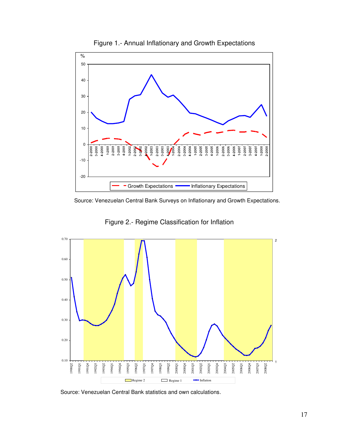

Figure 1.- Annual Inflationary and Growth Expectations



Figure 2.- Regime Classification for Inflation



Source: Venezuelan Central Bank statistics and own calculations.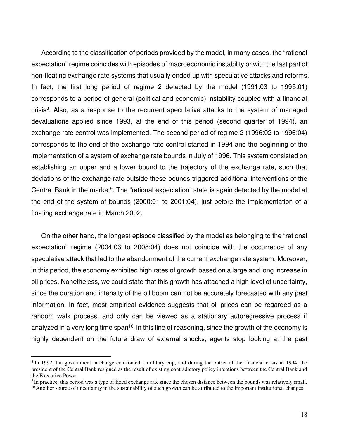According to the classification of periods provided by the model, in many cases, the "rational expectation" regime coincides with episodes of macroeconomic instability or with the last part of non-floating exchange rate systems that usually ended up with speculative attacks and reforms. In fact, the first long period of regime 2 detected by the model (1991:03 to 1995:01) corresponds to a period of general (political and economic) instability coupled with a financial crisis<sup>8</sup>. Also, as a response to the recurrent speculative attacks to the system of managed devaluations applied since 1993, at the end of this period (second quarter of 1994), an exchange rate control was implemented. The second period of regime 2 (1996:02 to 1996:04) corresponds to the end of the exchange rate control started in 1994 and the beginning of the implementation of a system of exchange rate bounds in July of 1996. This system consisted on establishing an upper and a lower bound to the trajectory of the exchange rate, such that deviations of the exchange rate outside these bounds triggered additional interventions of the Central Bank in the market<sup>9</sup>. The "rational expectation" state is again detected by the model at the end of the system of bounds (2000:01 to 2001:04), just before the implementation of a floating exchange rate in March 2002.

On the other hand, the longest episode classified by the model as belonging to the "rational expectation" regime (2004:03 to 2008:04) does not coincide with the occurrence of any speculative attack that led to the abandonment of the current exchange rate system. Moreover, in this period, the economy exhibited high rates of growth based on a large and long increase in oil prices. Nonetheless, we could state that this growth has attached a high level of uncertainty, since the duration and intensity of the oil boom can not be accurately forecasted with any past information. In fact, most empirical evidence suggests that oil prices can be regarded as a random walk process, and only can be viewed as a stationary autoregressive process if analyzed in a very long time span<sup>10</sup>. In this line of reasoning, since the growth of the economy is highly dependent on the future draw of external shocks, agents stop looking at the past

<sup>&</sup>lt;sup>8</sup> In 1992, the government in charge confronted a military cup, and during the outset of the financial crisis in 1994, the president of the Central Bank resigned as the result of existing contradictory policy intentions between the Central Bank and the Executive Power.

<sup>&</sup>lt;sup>9</sup>In practice, this period was a type of fixed exchange rate since the chosen distance between the bounds was relatively small.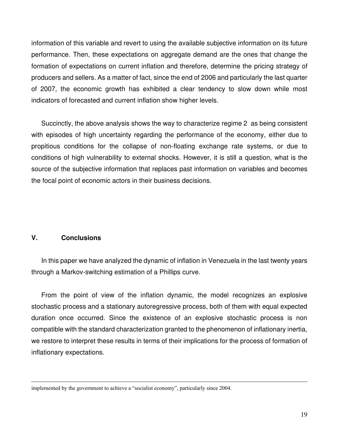information of this variable and revert to using the available subjective information on its future performance. Then, these expectations on aggregate demand are the ones that change the formation of expectations on current inflation and therefore, determine the pricing strategy of producers and sellers. As a matter of fact, since the end of 2006 and particularly the last quarter of 2007, the economic growth has exhibited a clear tendency to slow down while most indicators of forecasted and current inflation show higher levels.

Succinctly, the above analysis shows the way to characterize regime 2 as being consistent with episodes of high uncertainty regarding the performance of the economy, either due to propitious conditions for the collapse of non-floating exchange rate systems, or due to conditions of high vulnerability to external shocks. However, it is still a question, what is the source of the subjective information that replaces past information on variables and becomes the focal point of economic actors in their business decisions.

# **V. Conclusions**

In this paper we have analyzed the dynamic of inflation in Venezuela in the last twenty years through a Markov-switching estimation of a Phillips curve.

From the point of view of the inflation dynamic, the model recognizes an explosive stochastic process and a stationary autoregressive process, both of them with equal expected duration once occurred. Since the existence of an explosive stochastic process is non compatible with the standard characterization granted to the phenomenon of inflationary inertia, we restore to interpret these results in terms of their implications for the process of formation of inflationary expectations.

implemented by the government to achieve a "socialist economy", particularly since 2004.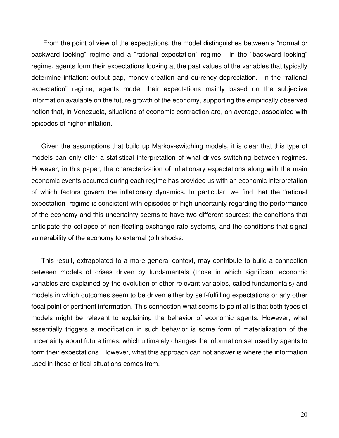From the point of view of the expectations, the model distinguishes between a "normal or backward looking" regime and a "rational expectation" regime. In the "backward looking" regime, agents form their expectations looking at the past values of the variables that typically determine inflation: output gap, money creation and currency depreciation. In the "rational expectation" regime, agents model their expectations mainly based on the subjective information available on the future growth of the economy, supporting the empirically observed notion that, in Venezuela, situations of economic contraction are, on average, associated with episodes of higher inflation.

Given the assumptions that build up Markov-switching models, it is clear that this type of models can only offer a statistical interpretation of what drives switching between regimes. However, in this paper, the characterization of inflationary expectations along with the main economic events occurred during each regime has provided us with an economic interpretation of which factors govern the inflationary dynamics. In particular, we find that the "rational expectation" regime is consistent with episodes of high uncertainty regarding the performance of the economy and this uncertainty seems to have two different sources: the conditions that anticipate the collapse of non-floating exchange rate systems, and the conditions that signal vulnerability of the economy to external (oil) shocks.

This result, extrapolated to a more general context, may contribute to build a connection between models of crises driven by fundamentals (those in which significant economic variables are explained by the evolution of other relevant variables, called fundamentals) and models in which outcomes seem to be driven either by self-fulfilling expectations or any other focal point of pertinent information. This connection what seems to point at is that both types of models might be relevant to explaining the behavior of economic agents. However, what essentially triggers a modification in such behavior is some form of materialization of the uncertainty about future times, which ultimately changes the information set used by agents to form their expectations. However, what this approach can not answer is where the information used in these critical situations comes from.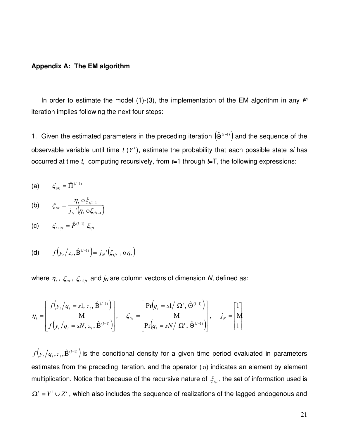#### **Appendix A: The EM algorithm**

In order to estimate the model  $(1)-(3)$ , the implementation of the EM algorithm in any  $I<sup>th</sup>$ iteration implies following the next four steps:

1. Given the estimated parameters in the preceding iteration  $(\hat{\Theta}^{(l-1)})$  and the sequence of the observable variable until time t (Y<sup>t</sup>), estimate the probability that each possible state si has occurred at time t, computing recursively, from  $t=1$  through  $t=T$ , the following expressions:

(a) 
$$
\xi_{1/0} = \hat{\Pi}^{(l-1)}
$$

(b) 
$$
\xi_{t/t} = \frac{\eta_t}{j_N} \frac{\partial \xi_{t/t-1}}{(\eta_t \partial \xi_{t/t-1})}
$$

(c) 
$$
\xi_{t+1/t} = \hat{P}^{(l-1)} \xi_{t/t}
$$

(d) 
$$
f(y_t/z_t, \hat{B}^{(l-1)}) = j_N'(\xi_{t/t-1} \circ \eta_t)
$$

where  $\eta_{_t}$ ,  $\zeta_{_{t/t}},\ \zeta_{_{t+1/t}}$  and  $j_N$  are column vectors of dimension N, defined as:

$$
\eta_t = \begin{bmatrix} f\left(y_t / q_t = s1, z_t, \hat{\mathbf{B}}^{(l-1)}\right) \\ M \\ f\left(y_t / q_t = sN, z_t, \hat{\mathbf{B}}^{(l-1)}\right) \end{bmatrix}, \quad \xi_{t/t} = \begin{bmatrix} \Pr\left(q_t = s1 / \Omega^t, \hat{\mathbf{\Theta}}^{(l-1)}\right) \\ M \\ \Pr\left(q_t = sN / \Omega^t, \hat{\mathbf{\Theta}}^{(l-1)}\right) \end{bmatrix}, \quad j_N = \begin{bmatrix} 1 \\ M \\ 1 \end{bmatrix}
$$

 $\left( y_{_{t}}/q_{_{t}}, z_{_{t}}, \hat{\mathrm{B}}^{(l-1)}\right)$  $f(y_t/q_t, z_t, \hat{\mathbf{B}}^{(l-1)})$  is the conditional density for a given time period evaluated in parameters estimates from the preceding iteration, and the operator  $(o)$  indicates an element by element multiplication. Notice that because of the recursive nature of  $\zeta_{t/t}$ , the set of information used is  $\Omega' \equiv Y' \cup Z'$ , which also includes the sequence of realizations of the lagged endogenous and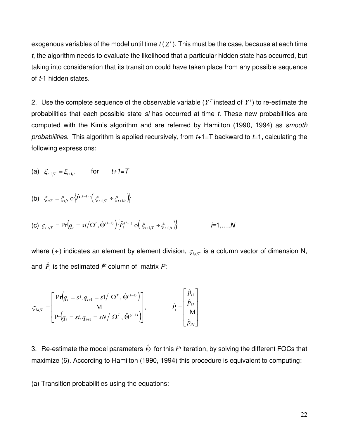exogenous variables of the model until time  $t(Z<sup>t</sup>)$ . This must be the case, because at each time t, the algorithm needs to evaluate the likelihood that a particular hidden state has occurred, but taking into consideration that its transition could have taken place from any possible sequence of t-1 hidden states.

2. Use the complete sequence of the observable variable ( $Y<sup>T</sup>$  instead of  $Y<sup>t</sup>$ ) to re-estimate the probabilities that each possible state si has occurred at time t. These new probabilities are computed with the Kim's algorithm and are referred by Hamilton (1990, 1994) as smooth probabilities. This algorithm is applied recursively, from  $t+1=T$  backward to  $t=1$ , calculating the following expressions:

(a) 
$$
\xi_{t+1/T} = \xi_{t+1/t}
$$
 for  $t+1 = T$ 

(b) 
$$
\xi_{t/T} = \xi_{t/t} \circ \left\{ \hat{P}^{(l-1)} \right\} \left( \xi_{t+1/T} \div \xi_{t+1/t} \right) \right\}
$$

(c) 
$$
\varsigma_{i,t/T} = \Pr \Big( q_{t} = \frac{s i}{\Omega^{t}}, \hat{\Theta}^{(l-1)} \Big) \Big\{ \hat{P}_{i}^{(l-1)} \circ \Big( \xi_{t+1/T} \div \xi_{t+1/t} \Big) \Big\}
$$
  $i=1,...,N$ 

where ( $\div$ ) indicates an element by element division,  $_{\mathcal{G}_{i,t/T}}$  is a column vector of dimension N, and  $\hat{P}_i$  is the estimated  $i^{th}$  column of matrix  $P$ :

$$
\varsigma_{i,t/T} = \begin{bmatrix} Pr(q_t = si, q_{t+1} = s1/ \ \Omega^T, \hat{\Theta}^{(l-1)} ) \\ M \\ Pr(q_t = si, q_{t+1} = sN/ \ \Omega^T, \hat{\Theta}^{(l-1)} ) \end{bmatrix}, \qquad \hat{P}_i = \begin{bmatrix} \hat{P}_{i1} \\ \hat{P}_{i2} \\ M \\ \hat{P}_{iN} \end{bmatrix}
$$

3. Re-estimate the model parameters  $\hat{\Theta}$  for this  $l^{th}$  iteration, by solving the different FOCs that maximize (6). According to Hamilton (1990, 1994) this procedure is equivalent to computing:

(a) Transition probabilities using the equations: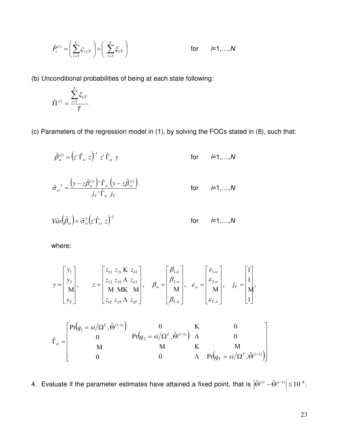$$
\hat{P}_i^{(l)} = \left(\sum_{t=2}^T \mathcal{F}_{i,t/T}\right) \div \left(\sum_{t=2}^T \mathcal{E}_{t/T}\right) \qquad \text{for} \qquad i=1,\ldots,N
$$

(b) Unconditional probabilities of being at each state following:

$$
\hat{\Pi}^{(l)} = \frac{\sum_{t=1}^{T} \xi_{t/T}}{T}
$$

(c) Parameters of the regression model in (1), by solving the FOCs stated in (8), such that:

$$
\hat{\beta}_{si}^{(l)} = (z'\hat{\Gamma}_{si} z)^{-1} z'\hat{\Gamma}_{si} y \qquad \text{for} \qquad i=1,...,N
$$
  

$$
\hat{\sigma}_{si}^{2} = \frac{(y - z\hat{\beta}_{si}^{(l)})'\hat{\Gamma}_{si} (y - z\hat{\beta}_{si}^{(l)})}{j_{T}^{*}\hat{\Gamma}_{si} j_{T}} \qquad \text{for} \qquad i=1,...,N
$$

$$
{j\mathstrut}_{T} \, {}^{\mathop{\textstyle \widehat{\Gamma}}\nolimits}_{si} \, \, j\mathstrut}_{T}
$$

$$
Var(\hat{\beta}_{si}) = \hat{\sigma}_{si}^2 (z'\hat{\Gamma}_{si} z)^{-1}
$$
 for  $i=1,...,N$ 

where:

$$
y = \begin{bmatrix} y_1 \\ y_2 \\ M \\ y_T \end{bmatrix}, \qquad z = \begin{bmatrix} z_{11} & z_{21} & Kz_{k1} \\ z_{12} & z_{22} & \Lambdaz_{k2} \\ M & MK & M \\ z_{1T} & z_{2T} & \Lambdaz_{kT} \end{bmatrix}, \qquad \beta_{si} = \begin{bmatrix} \beta_{1,si} \\ \beta_{2,si} \\ M \\ \beta_{k,si} \end{bmatrix}, \qquad \varepsilon_{si} = \begin{bmatrix} \varepsilon_{1,si} \\ \varepsilon_{2,si} \\ M \\ \varepsilon_{T,si} \end{bmatrix}, \qquad j_T = \begin{bmatrix} 1 \\ 1 \\ M \\ 1 \end{bmatrix},
$$

$$
\hat{\Gamma}_{si} = \begin{bmatrix} Pr(q_1 = si/\Omega^T, \hat{\Theta}^{(l-1)}) & 0 & K & 0 \\ 0 & Pr(q_2 = si/\Omega^T, \hat{\Theta}^{(l-1)}) & \Lambda & 0 \\ M & M & K & M \\ 0 & 0 & \Lambda & Pr(q_T = si/\Omega^T, \hat{\Theta}^{(l-1)}) \end{bmatrix}
$$

4. Evaluate if the parameter estimates have attained a fixed point, that is  $|\hat{\Theta}^{(l)} - \hat{\Theta}^{(l-1)}| \leq 10^{-8}$ .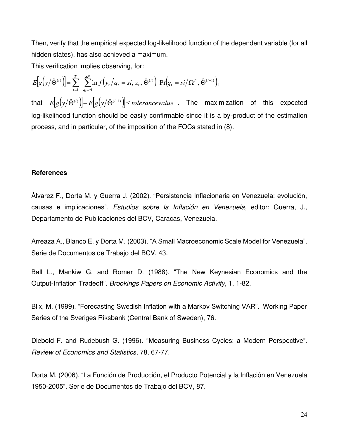Then, verify that the empirical expected log-likelihood function of the dependent variable (for all hidden states), has also achieved a maximum.

This verification implies observing, for:

 $[g(y|\hat{\Theta}^{(l)})] = \sum_{t=1}^{T} \sum_{q_t=s1}^{SN} \ln f(y_t/q_t = si, z_t, \hat{\Theta}^{(l)}) \Pr(q_t = si/\Omega^T, \hat{\Theta}^{(l-1)}),$ − =  $\hat{\Theta}^{(l)}$  =  $\sum_{i=1}^{T} \sum_{i=1}^{S_N} \ln f(y_t / q_t = si, z_t, \hat{\Theta}^{(l)} ) \Pr(q_t = si/\Omega^T, \hat{\Theta}^{(l)} )$  $q_t = s$  $T \hat{\mathbf{\Omega}}^{(l)}$ *t l*  $t / \mathbf{y}_t - \mathbf{y}_t, \mathbf{x}_t$ *T t*  $E[g(y|\hat{\Theta}^{(l)})] = \sum \ \sum \ln f(y_t/q_t = si, z_t, \hat{\Theta}^{(l)}) \ \Pr(q_t = si)$ *t* 1  $(l)$   $\ln \sqrt{a} = \frac{1}{2} \sqrt{C}$   $\hat{\Omega}^{(l-1)}$ 1  $\left\|\hat{\Theta}^{(l)}\right\| = \sum_{r=1}^{N} \sum_{i=1}^{N} \ln f\left(y_t / q_t = si, z_t, \hat{\Theta}^{(l)}\right) \Pr\left(q_t = si / \Omega^T, \hat{\Theta}^{(l-1)}\right),$ that  $E[g(y|\hat{\Theta}^{(l)})] - E[g(y|\hat{\Theta}^{(l-1)})] \leq$  *tolerancevalue* . The maximization of this expected log-likelihood function should be easily confirmable since it is a by-product of the estimation process, and in particular, of the imposition of the FOCs stated in (8).

#### **References**

Álvarez F., Dorta M. y Guerra J. (2002). "Persistencia Inflacionaria en Venezuela: evolución, causas e implicaciones". Estudios sobre la Inflación en Venezuela, editor: Guerra, J., Departamento de Publicaciones del BCV, Caracas, Venezuela.

Arreaza A., Blanco E. y Dorta M. (2003). "A Small Macroeconomic Scale Model for Venezuela". Serie de Documentos de Trabajo del BCV, 43.

Ball L., Mankiw G. and Romer D. (1988). "The New Keynesian Economics and the Output-Inflation Tradeoff". Brookings Papers on Economic Activity, 1, 1-82.

Blix, M. (1999). "Forecasting Swedish Inflation with a Markov Switching VAR". Working Paper Series of the Sveriges Riksbank (Central Bank of Sweden), 76.

Diebold F. and Rudebush G. (1996). "Measuring Business Cycles: a Modern Perspective". Review of Economics and Statistics, 78, 67-77.

Dorta M. (2006). "La Función de Producción, el Producto Potencial y la Inflación en Venezuela 1950-2005". Serie de Documentos de Trabajo del BCV, 87.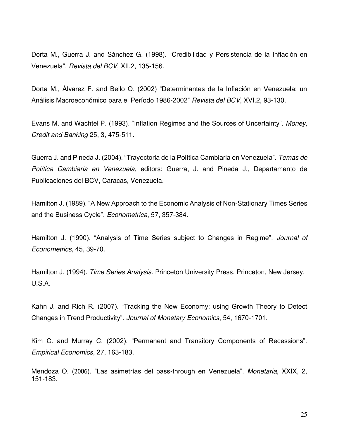Dorta M., Guerra J. and Sánchez G. (1998). "Credibilidad y Persistencia de la Inflación en Venezuela". Revista del BCV, XII.2, 135-156.

Dorta M., Álvarez F. and Bello O. (2002) "Determinantes de la Inflación en Venezuela: un Análisis Macroeconómico para el Período 1986-2002" Revista del BCV, XVI.2, 93-130.

Evans M. and Wachtel P. (1993). "Inflation Regimes and the Sources of Uncertainty". Money, Credit and Banking 25, 3, 475-511.

Guerra J. and Pineda J. (2004). "Trayectoria de la Política Cambiaria en Venezuela". Temas de Política Cambiaria en Venezuela, editors: Guerra, J. and Pineda J., Departamento de Publicaciones del BCV, Caracas, Venezuela.

Hamilton J. (1989). "A New Approach to the Economic Analysis of Non-Stationary Times Series and the Business Cycle". Econometrica, 57, 357-384.

Hamilton J. (1990). "Analysis of Time Series subject to Changes in Regime". Journal of Econometrics, 45, 39-70.

Hamilton J. (1994). *Time Series Analysis*. Princeton University Press, Princeton, New Jersey, U.S.A.

Kahn J. and Rich R. (2007). "Tracking the New Economy: using Growth Theory to Detect Changes in Trend Productivity". Journal of Monetary Economics, 54, 1670-1701.

Kim C. and Murray C. (2002). "Permanent and Transitory Components of Recessions". Empirical Economics, 27, 163-183.

Mendoza O. (2006). "Las asimetrías del pass-through en Venezuela". Monetaria, XXIX, 2, 151-183.